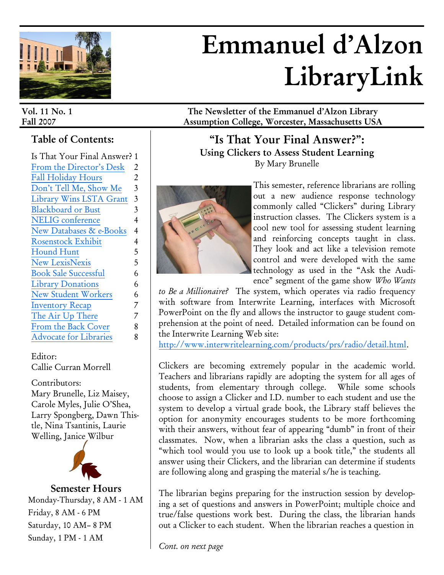

# **Emmanuel d'Alzon LibraryLink**

# **Table of Contents:**

| Is That Your Final Answer? 1  |                |
|-------------------------------|----------------|
| From the Director's Desk      | 2              |
| Fall Holiday Hours            | $\overline{2}$ |
| Don't Tell Me, Show Me        | 3              |
| Library Wins LSTA Grant       | 3              |
| <b>Blackboard or Bust</b>     | 3              |
| <b>NELIG</b> conference       | 4              |
| New Databases & e-Books       | 4              |
| <b>Rosenstock Exhibit</b>     | 4              |
| <b>Hound Hunt</b>             | 5              |
| <b>New LexisNexis</b>         | 5              |
| <b>Book Sale Successful</b>   | 6              |
| <b>Library Donations</b>      | 6              |
| <b>New Student Workers</b>    | 6              |
| <b>Inventory Recap</b>        | 7              |
| The Air Up There              | 7              |
| From the Back Cover           | 8              |
| <b>Advocate for Libraries</b> | 8              |
|                               |                |

Editor: Callie Curran Morrell

Contributors: Mary Brunelle, Liz Maisey, Carole Myles, Julie O'Shea, Larry Spongberg, Dawn Thistle, Nina Tsantinis, Laurie Welling, Janice Wilbur



**Semester Hours** Monday-Thursday, 8 AM - 1 AM Friday, 8 AM - 6 PM Saturday, 10 AM– 8 PM Sunday, 1 PM - 1 AM

**Vol. 11 No. 1 The Newsletter of the Emmanuel d'Alzon Library Fall 2007 Assumption College, Worcester, Massachusetts USA**

> **"Is That Your Final Answer?": Using Clickers to Assess Student Learning** By Mary Brunelle



This semester, reference librarians are rolling out a new audience response technology commonly called "Clickers" during Library instruction classes. The Clickers system is a cool new tool for assessing student learning and reinforcing concepts taught in class. They look and act like a television remote control and were developed with the same technology as used in the "Ask the Audience" segment of the game show *Who Wants* 

*to Be a Millionaire?* The system, which operates via radio frequency with software from Interwrite Learning, interfaces with Microsoft PowerPoint on the fly and allows the instructor to gauge student comprehension at the point of need. Detailed information can be found on the Interwrite Learning Web site:

[http://www.interwritelearning.com/products/prs/radio/detail.html.](http://www.interwritelearning.com/products/prs/radio/detail.html)

Clickers are becoming extremely popular in the academic world. Teachers and librarians rapidly are adopting the system for all ages of students, from elementary through college. While some schools choose to assign a Clicker and I.D. number to each student and use the system to develop a virtual grade book, the Library staff believes the option for anonymity encourages students to be more forthcoming with their answers, without fear of appearing "dumb" in front of their classmates. Now, when a librarian asks the class a question, such as "which tool would you use to look up a book title," the students all answer using their Clickers, and the librarian can determine if students are following along and grasping the material s/he is teaching.

The librarian begins preparing for the instruction session by developing a set of questions and answers in PowerPoint; multiple choice and true/false questions work best. During the class, the librarian hands out a Clicker to each student. When the librarian reaches a question in

*Cont. on next page*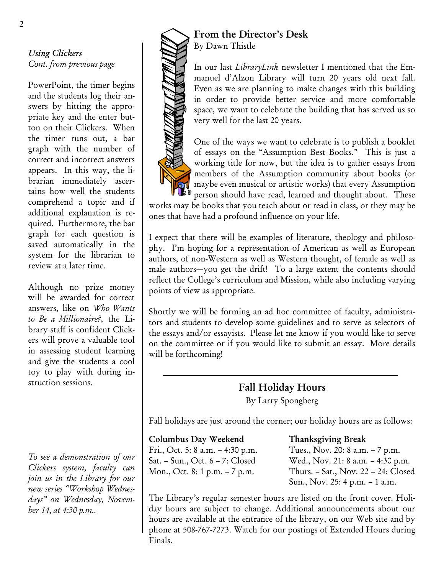# *Using Clickers Cont. from previous page*

PowerPoint, the timer begins and the students log their answers by hitting the appropriate key and the enter button on their Clickers. When the timer runs out, a bar graph with the number of correct and incorrect answers appears. In this way, the librarian immediately ascertains how well the students comprehend a topic and if additional explanation is required. Furthermore, the bar graph for each question is saved automatically in the system for the librarian to review at a later time.

Although no prize money will be awarded for correct answers, like on *Who Wants to Be a Millionaire?*, the Library staff is confident Clickers will prove a valuable tool in assessing student learning and give the students a cool toy to play with during instruction sessions.

*To see a demonstration of our Clickers system, faculty can join us in the Library for our new series "Workshop Wednesdays" on Wednesday, November 14, at 4:30 p.m..* 



# **From the Director's Desk**  By Dawn Thistle

In our last *LibraryLink* newsletter I mentioned that the Emmanuel d'Alzon Library will turn 20 years old next fall. Even as we are planning to make changes with this building in order to provide better service and more comfortable space, we want to celebrate the building that has served us so very well for the last 20 years.



One of the ways we want to celebrate is to publish a booklet of essays on the "Assumption Best Books." This is just a working title for now, but the idea is to gather essays from members of the Assumption community about books (or maybe even musical or artistic works) that every Assumption person should have read, learned and thought about. These

works may be books that you teach about or read in class, or they may be ones that have had a profound influence on your life.

I expect that there will be examples of literature, theology and philosophy. I'm hoping for a representation of American as well as European authors, of non-Western as well as Western thought, of female as well as male authors—you get the drift! To a large extent the contents should reflect the College's curriculum and Mission, while also including varying points of view as appropriate.

Shortly we will be forming an ad hoc committee of faculty, administrators and students to develop some guidelines and to serve as selectors of the essays and/or essayists. Please let me know if you would like to serve on the committee or if you would like to submit an essay. More details will be forthcoming!

# **Fall Holiday Hours**  By Larry Spongberg

Fall holidays are just around the corner; our holiday hours are as follows:

#### **Columbus Day Weekend Thanksgiving Break**

Fri., Oct. 5: 8 a.m. – 4:30 p.m. Tues., Nov. 20: 8 a.m. – 7 p.m. Sat. – Sun., Oct. 6 – 7: Closed Wed., Nov. 21: 8 a.m. – 4:30 p.m. Mon., Oct. 8: 1 p.m. – 7 p.m. Thurs. – Sat., Nov. 22 – 24: Closed Sun., Nov. 25: 4 p.m. – 1 a.m.

The Library's regular semester hours are listed on the front cover. Holiday hours are subject to change. Additional announcements about our hours are available at the entrance of the library, on our Web site and by phone at 508-767-7273. Watch for our postings of Extended Hours during Finals.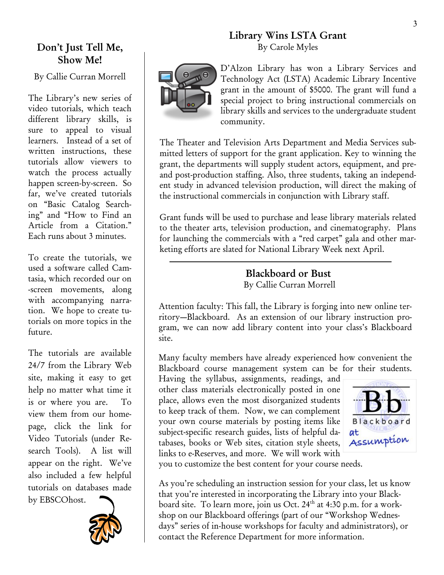# **Library Wins LSTA Grant** By Carole Myles



D'Alzon Library has won a Library Services and Technology Act (LSTA) Academic Library Incentive grant in the amount of \$5000. The grant will fund a special project to bring instructional commercials on library skills and services to the undergraduate student community.

The Theater and Television Arts Department and Media Services submitted letters of support for the grant application. Key to winning the grant, the departments will supply student actors, equipment, and preand post-production staffing. Also, three students, taking an independent study in advanced television production, will direct the making of the instructional commercials in conjunction with Library staff.

Grant funds will be used to purchase and lease library materials related to the theater arts, television production, and cinematography. Plans for launching the commercials with a "red carpet" gala and other marketing efforts are slated for National Library Week next April.

# **Blackboard or Bust** By Callie Curran Morrell

Attention faculty: This fall, the Library is forging into new online territory—Blackboard. As an extension of our library instruction program, we can now add library content into your class's Blackboard site.

Many faculty members have already experienced how convenient the Blackboard course management system can be for their students.

Having the syllabus, assignments, readings, and other class materials electronically posted in one place, allows even the most disorganized students to keep track of them. Now, we can complement your own course materials by posting items like subject-specific research guides, lists of helpful databases, books or Web sites, citation style sheets, links to e-Reserves, and more. We will work with



you to customize the best content for your course needs.

As you're scheduling an instruction session for your class, let us know that you're interested in incorporating the Library into your Blackboard site. To learn more, join us Oct. 24<sup>th</sup> at 4:30 p.m. for a workshop on our Blackboard offerings (part of our "Workshop Wednesdays" series of in-house workshops for faculty and administrators), or contact the Reference Department for more information.

# **Don't Just Tell Me, Show Me!**

By Callie Curran Morrell

The Library's new series of video tutorials, which teach different library skills, is sure to appeal to visual learners. Instead of a set of written instructions, these tutorials allow viewers to watch the process actually happen screen-by-screen. So far, we've created tutorials on "Basic Catalog Searching" and "How to Find an Article from a Citation." Each runs about 3 minutes.

To create the tutorials, we used a software called Camtasia, which recorded our on -screen movements, along with accompanying narration. We hope to create tutorials on more topics in the future.

The tutorials are available 24/7 from the Library Web site, making it easy to get help no matter what time it is or where you are. To view them from our homepage, click the link for Video Tutorials (under Research Tools). A list will appear on the right. We've also included a few helpful tutorials on databases made by EBSCOhost.

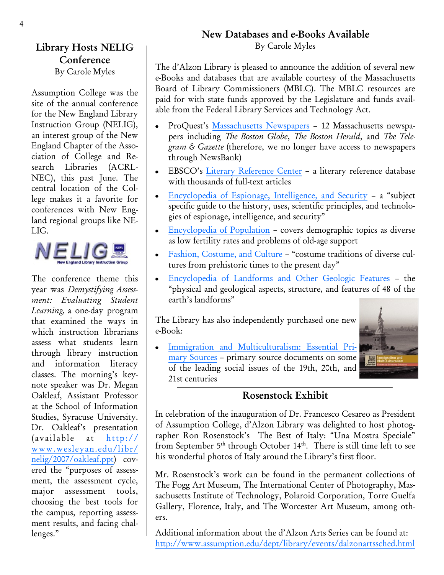# **New Databases and e-Books Available**

By Carole Myles

The d'Alzon Library is pleased to announce the addition of several new e-Books and databases that are available courtesy of the Massachusetts Board of Library Commissioners (MBLC). The MBLC resources are paid for with state funds approved by the Legislature and funds available from the Federal Library Services and Technology Act.

- ProQuest's [Massachusetts Newspapers](http://lib.assumption.edu/login?url=http://proquest.umi.com/login?COPT=REJTPTI3ZSZJTlQ9MCZWRVI9Mg==&clientId=3095) 12 Massachusetts newspapers including *The Boston Globe*, *The Boston Herald*, and *The Telegram & Gazette* (therefore, we no longer have access to newspapers through NewsBank)
- EBSCO's [Literary Reference Center](http://search.ebscohost.com/login.aspx?authtype=ip,cookie,uid&profile=lrc) a literary reference database with thousands of full-text articles
- [Encyclopedia of Espionage, Intelligence, and Security](http://lib.assumption.edu/login?url=http://find.galegroup.com/gvrl/aboutEbook.do?prodId=GVRL&userGroupName=mlin_c_assumpt&actionString=DO_DISPLAY_ABOUT_PAGE&eisbn=0787677620&searchType=PublicationSearchForm) a "subject  $\bullet$ specific guide to the history, uses, scientific principles, and technologies of espionage, intelligence, and security"
- [Encyclopedia of Population](http://lib.assumption.edu/login?url=http://find.galegroup.com/gvrl/aboutEbook.do?prodId=GVRL&userGroupName=mlin_c_assumpt&actionString=DO_DISPLAY_ABOUT_PAGE&eisbn=0028659171&searchType=PublicationSearchForm) covers demographic topics as diverse  $\bullet$ as low fertility rates and problems of old-age support
- [Fashion, Costume, and Culture](http://lib.assumption.edu/login?url=http://find.galegroup.com/gvrl/aboutEbook.do?prodId=GVRL&userGroupName=mlin_c_assumpt&actionString=DO_DISPLAY_ABOUT_PAGE&eisbn=0787693006&searchType=PublicationSearchForm) "costume traditions of diverse cultures from prehistoric times to the present day"
- [Encyclopedia of Landforms and Other Geologic Features](http://lib.assumption.edu/login?url=http://find.galegroup.com/gvrl/aboutEbook.do?prodId=GVRL&userGroupName=mlin_c_assumpt&actionString=DO_DISPLAY_ABOUT_PAGE&eisbn=0787693162&searchType=PublicationSearchForm) the "physical and geological aspects, structure, and features of 48 of the earth's landforms"

The Library has also independently purchased one new e-Book:

[Immigration and Multiculturalism: Essential Pri](http://lib.assumption.edu/login?url=http://find.galegroup.com/gvrl/aboutEbook.do?prodId=GVRL&userGroupName=mlin_c_assumpt&actionString=DO_DISPLAY_ABOUT_PAGE&eisbn=1414412657)[mary Sources](http://lib.assumption.edu/login?url=http://find.galegroup.com/gvrl/aboutEbook.do?prodId=GVRL&userGroupName=mlin_c_assumpt&actionString=DO_DISPLAY_ABOUT_PAGE&eisbn=1414412657) – primary source documents on some of the leading social issues of the 19th, 20th, and 21st centuries

# **Rosenstock Exhibit**

In celebration of the inauguration of Dr. Francesco Cesareo as President of Assumption College, d'Alzon Library was delighted to host photographer Ron Rosenstock's The Best of Italy: "Una Mostra Speciale" from September  $5<sup>th</sup>$  through October  $14<sup>th</sup>$ . There is still time left to see his wonderful photos of Italy around the Library's first floor.

Mr. Rosenstock's work can be found in the permanent collections of The Fogg Art Museum, The International Center of Photography, Massachusetts Institute of Technology, Polaroid Corporation, Torre Guelfa Gallery, Florence, Italy, and The Worcester Art Museum, among others.

Additional information about the d'Alzon Arts Series can be found at: <http://www.assumption.edu/dept/library/events/dalzonartssched.html>

# **Library Hosts NELIG Conference**

By Carole Myles

Assumption College was the site of the annual conference for the New England Library Instruction Group (NELIG), an interest group of the New England Chapter of the Association of College and Research Libraries (ACRL-NEC), this past June. The central location of the College makes it a favorite for conferences with New England regional groups like NE-LIG.



The conference theme this year was *Demystifying Assessment: Evaluating Student Learning,* a one-day program that examined the ways in which instruction librarians assess what students learn through library instruction and information literacy classes. The morning's keynote speaker was Dr. Megan Oakleaf, Assistant Professor at the School of Information Studies, Syracuse University. Dr. Oakleaf's presentation (available at [http://](http://www.wesleyan.edu/libr/nelig/2007/oakleaf.ppt) [www.wesleyan.edu/libr/](http://www.wesleyan.edu/libr/nelig/2007/oakleaf.ppt) [nelig/2007/oakleaf.ppt\)](http://www.wesleyan.edu/libr/nelig/2007/oakleaf.ppt) covered the "purposes of assessment, the assessment cycle, major assessment tools, choosing the best tools for the campus, reporting assessment results, and facing challenges."

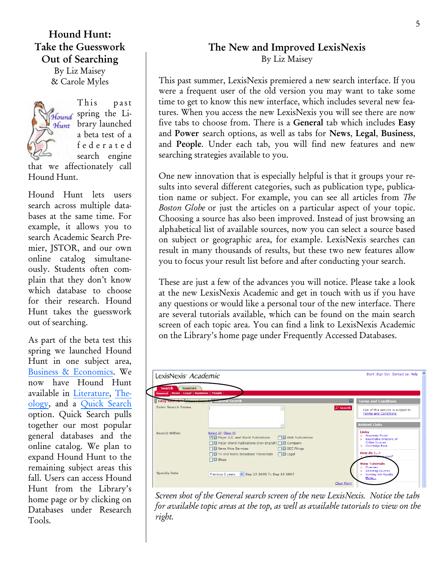**Hound Hunt: Take the Guesswork Out of Searching** By Liz Maisey & Carole Myles



This past Hound spring the Li-Hunt brary launched a beta test of a f e d e r a t e d search engine

that we affectionately call Hound Hunt.

Hound Hunt lets users search across multiple databases at the same time. For example, it allows you to search Academic Search Premier, JSTOR, and our own online catalog simultaneously. Students often complain that they don't know which database to choose for their research. Hound Hunt takes the guesswork out of searching.

As part of the beta test this spring we launched Hound Hunt in one subject area, [Business & Economics.](http://www.assumption.edu/dept/library/resources/businessecon-cs2.htm) We now have Hound Hunt available in [Literature,](http://www.assumption.edu/dept/library/resources/literature-cs2.htm) [The](http://www.assumption.edu/dept/library/resources/theology-cs2.htm)[ology,](http://www.assumption.edu/dept/library/resources/theology-cs2.htm) and a [Quick Search](http://dy4ea7jx4d.cs.serialssolutions.com/?SS_LibHash=DY4EA7JX4D&searchBy=Database&catGroupList=default¤tCat=18570&searchType=advanced) option. Quick Search pulls together our most popular general databases and the online catalog. We plan to expand Hound Hunt to the remaining subject areas this fall. Users can access Hound Hunt from the Library's home page or by clicking on Databases under Research Tools.

# **The New and Improved LexisNexis** By Liz Maisey

This past summer, LexisNexis premiered a new search interface. If you were a frequent user of the old version you may want to take some time to get to know this new interface, which includes several new features. When you access the new LexisNexis you will see there are now five tabs to choose from. There is a **General** tab which includes **Easy** and **Power** search options, as well as tabs for **News**, **Legal**, **Business**, and **People**. Under each tab, you will find new features and new searching strategies available to you.

One new innovation that is especially helpful is that it groups your results into several different categories, such as publication type, publication name or subject. For example, you can see all articles from *The Boston Globe* or just the articles on a particular aspect of your topic. Choosing a source has also been improved. Instead of just browsing an alphabetical list of available sources, now you can select a source based on subject or geographic area, for example. LexisNexis searches can result in many thousands of results, but these two new features allow you to focus your result list before and after conducting your search.

These are just a few of the advances you will notice. Please take a look at the new LexisNexis Academic and get in touch with us if you have any questions or would like a personal tour of the new interface. There are several tutorials available, which can be found on the main search screen of each topic area. You can find a link to LexisNexis Academic on the Library's home page under Frequently Accessed Databases.

| LexisNexis <sup>®</sup> Academic                                              |                                                                                                                                                                                                                                                                                                      | A<br>Start   Sign Out   Contact Us   Help                                                                               |
|-------------------------------------------------------------------------------|------------------------------------------------------------------------------------------------------------------------------------------------------------------------------------------------------------------------------------------------------------------------------------------------------|-------------------------------------------------------------------------------------------------------------------------|
| <b>Search</b><br><b>Sources</b><br>General   News   Legal   Business   People |                                                                                                                                                                                                                                                                                                      |                                                                                                                         |
| Easy Search <sup>es</sup> - Power Gearch                                      | <b>General Search</b>                                                                                                                                                                                                                                                                                | n<br><b>Terms and Conditions</b>                                                                                        |
| <b>Enter Search Terms</b>                                                     |                                                                                                                                                                                                                                                                                                      | $\varphi$ Search<br>Use of this service is subject to<br><b>Terms and Conditions</b><br><b>Related Links</b>            |
| <b>Search Within</b>                                                          | Select All Clear All<br><b>NET</b> Web Publications<br>Mill Major U.S. and World Publications<br><b>National State of Second</b> Marian Montestine (non-English) <b>National Company</b><br><b>THE SEC Filings</b><br><b>News Wire Services</b><br>□ IT TV and Radio Broadcast Transcripts □ □ Legal | Links<br>> Academic Portal<br>> Searchable Directory of<br><b>Online Sources</b><br>> Knowledge Base<br>How do I?       |
| <b>Specify Date</b>                                                           | $\Box$ Blogs<br>Previous 2 years v Sep 13 2005 To Sep 13 2007                                                                                                                                                                                                                                        | to start?<br><b>View Tutorials</b><br>> Overview<br>> Selecting Sources<br>> Working with Results<br>More<br>Clear Form |

*Screen shot of the General search screen of the new LexisNexis. Notice the tabs for available topic areas at the top, as well as available tutorials to view on the right.*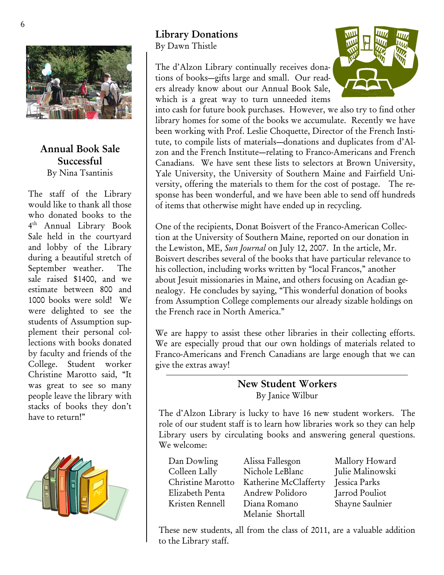

# **Annual Book Sale Successful** By Nina Tsantinis

The staff of the Library would like to thank all those who donated books to the 4 th Annual Library Book Sale held in the courtyard and lobby of the Library during a beautiful stretch of September weather. The sale raised \$1400, and we estimate between 800 and 1000 books were sold! We were delighted to see the students of Assumption supplement their personal collections with books donated by faculty and friends of the College. Student worker Christine Marotto said, "It was great to see so many people leave the library with stacks of books they don't have to return!"



# **Library Donations**

By Dawn Thistle

The d'Alzon Library continually receives donations of books—gifts large and small. Our readers already know about our Annual Book Sale, which is a great way to turn unneeded items



into cash for future book purchases. However, we also try to find other library homes for some of the books we accumulate. Recently we have been working with Prof. Leslie Choquette, Director of the French Institute, to compile lists of materials—donations and duplicates from d'Alzon and the French Institute—relating to Franco-Americans and French Canadians. We have sent these lists to selectors at Brown University, Yale University, the University of Southern Maine and Fairfield University, offering the materials to them for the cost of postage. The response has been wonderful, and we have been able to send off hundreds of items that otherwise might have ended up in recycling.

One of the recipients, Donat Boisvert of the Franco-American Collection at the University of Southern Maine, reported on our donation in the Lewiston, ME, *Sun Journal* on July 12, 2007. In the article, Mr. Boisvert describes several of the books that have particular relevance to his collection, including works written by "local Francos," another about Jesuit missionaries in Maine, and others focusing on Acadian genealogy. He concludes by saying, "This wonderful donation of books from Assumption College complements our already sizable holdings on the French race in North America."

We are happy to assist these other libraries in their collecting efforts. We are especially proud that our own holdings of materials related to Franco-Americans and French Canadians are large enough that we can give the extras away!

# **New Student Workers** By Janice Wilbur

The d'Alzon Library is lucky to have 16 new student workers. The role of our student staff is to learn how libraries work so they can help Library users by circulating books and answering general questions. We welcome:

| Dan Dowling       | Alissa Fallesgon      | Mallory Howard   |
|-------------------|-----------------------|------------------|
| Colleen Lally     | Nichole LeBlanc       | Julie Malinowski |
| Christine Marotto | Katherine McClafferty | Jessica Parks    |
| Elizabeth Penta   | Andrew Polidoro       | Jarrod Pouliot   |
| Kristen Rennell   | Diana Romano          | Shayne Saulnier  |
|                   | Melanie Shortall      |                  |

These new students, all from the class of 2011, are a valuable addition to the Library staff.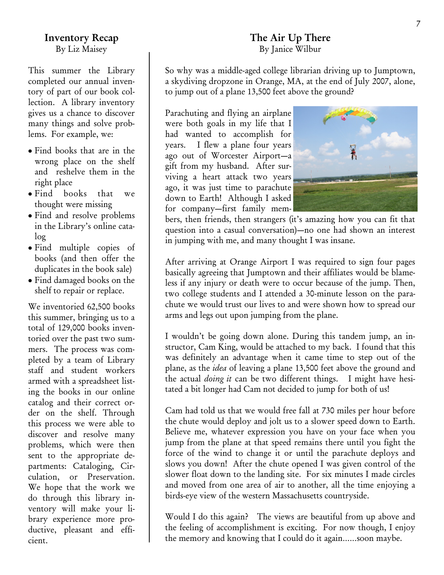## **Inventory Recap** By Liz Maisey

This summer the Library completed our annual inventory of part of our book collection. A library inventory gives us a chance to discover many things and solve problems. For example, we:

- Find books that are in the wrong place on the shelf and reshelve them in the right place
- Find books that we thought were missing
- Find and resolve problems in the Library's online catalog
- Find multiple copies of books (and then offer the duplicates in the book sale)
- Find damaged books on the shelf to repair or replace.

We inventoried 62,500 books this summer, bringing us to a total of 129,000 books inventoried over the past two summers. The process was completed by a team of Library staff and student workers armed with a spreadsheet listing the books in our online catalog and their correct order on the shelf. Through this process we were able to discover and resolve many problems, which were then sent to the appropriate departments: Cataloging, Circulation, or Preservation. We hope that the work we do through this library inventory will make your library experience more productive, pleasant and efficient.

# **The Air Up There** By Janice Wilbur

So why was a middle-aged college librarian driving up to Jumptown, a skydiving dropzone in Orange, MA, at the end of July 2007, alone, to jump out of a plane 13,500 feet above the ground?

Parachuting and flying an airplane were both goals in my life that I had wanted to accomplish for years. I flew a plane four years ago out of Worcester Airport—a gift from my husband. After surviving a heart attack two years ago, it was just time to parachute down to Earth! Although I asked for company—first family mem-

ħ

bers, then friends, then strangers (it's amazing how you can fit that question into a casual conversation)—no one had shown an interest in jumping with me, and many thought I was insane.

After arriving at Orange Airport I was required to sign four pages basically agreeing that Jumptown and their affiliates would be blameless if any injury or death were to occur because of the jump. Then, two college students and I attended a 30-minute lesson on the parachute we would trust our lives to and were shown how to spread our arms and legs out upon jumping from the plane.

I wouldn't be going down alone. During this tandem jump, an instructor, Cam King, would be attached to my back. I found that this was definitely an advantage when it came time to step out of the plane, as the *idea* of leaving a plane 13,500 feet above the ground and the actual *doing it* can be two different things. I might have hesitated a bit longer had Cam not decided to jump for both of us!

Cam had told us that we would free fall at 730 miles per hour before the chute would deploy and jolt us to a slower speed down to Earth. Believe me, whatever expression you have on your face when you jump from the plane at that speed remains there until you fight the force of the wind to change it or until the parachute deploys and slows you down! After the chute opened I was given control of the slower float down to the landing site. For six minutes I made circles and moved from one area of air to another, all the time enjoying a birds-eye view of the western Massachusetts countryside.

Would I do this again? The views are beautiful from up above and the feeling of accomplishment is exciting. For now though, I enjoy the memory and knowing that I could do it again……soon maybe.